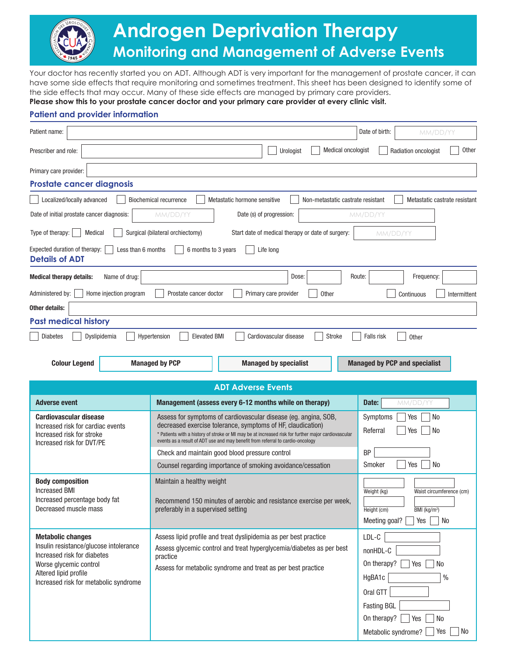

## **Androgen Deprivation Therapy Monitoring and Management of Adverse Events**

Your doctor has recently started you on ADT. Although ADT is very important for the management of prostate cancer, it can have some side effects that require monitoring and sometimes treatment. This sheet has been designed to identify some of the side effects that may occur. Many of these side effects are managed by primary care providers.

## **Please show this to your prostate cancer doctor and your primary care provider at every clinic visit.**

## **Patient and provider information**

| Patient name:                                                                                                                                                     |                                                                                                                                                                                                                                                                                                                         |                                                                  |                    | Date of birth:                          | MM/DD/YY                   |              |  |
|-------------------------------------------------------------------------------------------------------------------------------------------------------------------|-------------------------------------------------------------------------------------------------------------------------------------------------------------------------------------------------------------------------------------------------------------------------------------------------------------------------|------------------------------------------------------------------|--------------------|-----------------------------------------|----------------------------|--------------|--|
| Prescriber and role:                                                                                                                                              |                                                                                                                                                                                                                                                                                                                         | Urologist                                                        | Medical oncologist |                                         | Radiation oncologist       | <b>Other</b> |  |
| Primary care provider:                                                                                                                                            |                                                                                                                                                                                                                                                                                                                         |                                                                  |                    |                                         |                            |              |  |
| <b>Prostate cancer diagnosis</b>                                                                                                                                  |                                                                                                                                                                                                                                                                                                                         |                                                                  |                    |                                         |                            |              |  |
| Localized/locally advanced<br><b>Biochemical recurrence</b><br>Metastatic hormone sensitive<br>Non-metastatic castrate resistant<br>Metastatic castrate resistant |                                                                                                                                                                                                                                                                                                                         |                                                                  |                    |                                         |                            |              |  |
| Date of initial prostate cancer diagnosis:<br>Date (s) of progression:<br>MM/DD/YY<br>MM/DD/YY                                                                    |                                                                                                                                                                                                                                                                                                                         |                                                                  |                    |                                         |                            |              |  |
| Type of therapy:<br>Medical<br>Surgical (bilateral orchiectomy)<br>Start date of medical therapy or date of surgery:<br>MM/DD/YY                                  |                                                                                                                                                                                                                                                                                                                         |                                                                  |                    |                                         |                            |              |  |
| Expected duration of therapy:<br>Less than 6 months<br>6 months to 3 years<br>Life long<br><b>Details of ADT</b>                                                  |                                                                                                                                                                                                                                                                                                                         |                                                                  |                    |                                         |                            |              |  |
| <b>Medical therapy details:</b><br>Name of drug:                                                                                                                  |                                                                                                                                                                                                                                                                                                                         | Dose:                                                            |                    | Route:                                  | Frequency:                 |              |  |
| Administered by:<br>Home injection program                                                                                                                        | Prostate cancer doctor                                                                                                                                                                                                                                                                                                  | Primary care provider                                            | <b>Other</b>       |                                         | Continuous                 | Intermittent |  |
| <b>Other details:</b>                                                                                                                                             |                                                                                                                                                                                                                                                                                                                         |                                                                  |                    |                                         |                            |              |  |
| <b>Past medical history</b>                                                                                                                                       |                                                                                                                                                                                                                                                                                                                         |                                                                  |                    |                                         |                            |              |  |
| <b>Diabetes</b><br>Dyslipidemia<br>Hypertension<br><b>Elevated BMI</b><br><b>Stroke</b><br>Falls risk<br>Cardiovascular disease<br>Other                          |                                                                                                                                                                                                                                                                                                                         |                                                                  |                    |                                         |                            |              |  |
| <b>Colour Legend</b><br><b>Managed by PCP</b><br><b>Managed by PCP and specialist</b><br><b>Managed by specialist</b>                                             |                                                                                                                                                                                                                                                                                                                         |                                                                  |                    |                                         |                            |              |  |
|                                                                                                                                                                   |                                                                                                                                                                                                                                                                                                                         | <b>ADT Adverse Events</b>                                        |                    |                                         |                            |              |  |
| <b>Adverse event</b>                                                                                                                                              |                                                                                                                                                                                                                                                                                                                         | Management (assess every 6-12 months while on therapy)           |                    | Date:                                   | MM/DD/YY                   |              |  |
| <b>Cardiovascular disease</b><br>Increased risk for cardiac events<br>Increased risk for stroke<br>Increased risk for DVT/PE                                      | Assess for symptoms of cardiovascular disease (eg. angina, SOB,<br>decreased exercise tolerance, symptoms of HF, claudication)<br>* Patients with a history of stroke or MI may be at increased risk for further major cardiovascular<br>events as a result of ADT use and may benefit from referral to cardio-oncology |                                                                  |                    | Symptoms<br>Referral                    | Yes<br>No<br>No<br>Yes     |              |  |
|                                                                                                                                                                   | Check and maintain good blood pressure control                                                                                                                                                                                                                                                                          |                                                                  |                    | BP                                      |                            |              |  |
|                                                                                                                                                                   | Counsel regarding importance of smoking avoidance/cessation                                                                                                                                                                                                                                                             |                                                                  |                    | Smoker<br>Yes<br>No                     |                            |              |  |
| <b>Body composition</b>                                                                                                                                           | Maintain a healthy weight                                                                                                                                                                                                                                                                                               |                                                                  |                    |                                         |                            |              |  |
| <b>Increased BMI</b><br>Increased percentage body fat                                                                                                             | Recommend 150 minutes of aerobic and resistance exercise per week,                                                                                                                                                                                                                                                      |                                                                  |                    | Weight (kg)<br>Waist circumference (cm) |                            |              |  |
| Decreased muscle mass                                                                                                                                             | preferably in a supervised setting                                                                                                                                                                                                                                                                                      |                                                                  |                    | Height (cm)                             | BMI (kg/m <sup>2</sup> )   |              |  |
|                                                                                                                                                                   |                                                                                                                                                                                                                                                                                                                         |                                                                  |                    | Meeting goal?                           | $Yes \mid No$              |              |  |
| <b>Metabolic changes</b><br>Insulin resistance/glucose intolerance                                                                                                |                                                                                                                                                                                                                                                                                                                         | Assess lipid profile and treat dyslipidemia as per best practice |                    | $LDL-C$                                 |                            |              |  |
| Increased risk for diabetes                                                                                                                                       | Assess glycemic control and treat hyperglycemia/diabetes as per best<br>practice                                                                                                                                                                                                                                        |                                                                  |                    | nonHDL-C                                |                            |              |  |
| Worse glycemic control<br>Altered lipid profile                                                                                                                   |                                                                                                                                                                                                                                                                                                                         | Assess for metabolic syndrome and treat as per best practice     |                    | On therapy?                             | No<br>Yes                  |              |  |
| Increased risk for metabolic syndrome                                                                                                                             |                                                                                                                                                                                                                                                                                                                         |                                                                  |                    | HgBA1c                                  |                            | $\%$         |  |
|                                                                                                                                                                   |                                                                                                                                                                                                                                                                                                                         |                                                                  |                    | Oral GTT                                |                            |              |  |
|                                                                                                                                                                   |                                                                                                                                                                                                                                                                                                                         |                                                                  |                    | <b>Fasting BGL</b><br>On therapy?       | No<br>Yes                  |              |  |
|                                                                                                                                                                   |                                                                                                                                                                                                                                                                                                                         |                                                                  |                    |                                         | Yes<br>Metabolic syndrome? | No           |  |
|                                                                                                                                                                   |                                                                                                                                                                                                                                                                                                                         |                                                                  |                    |                                         |                            |              |  |